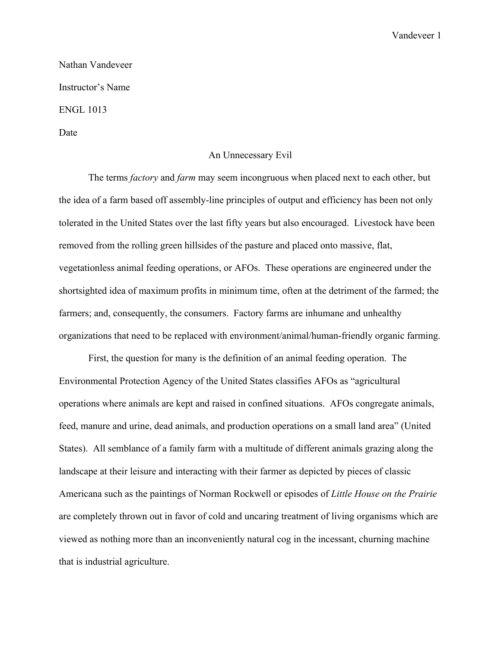Vandeveer 1

Nathan Vandeveer Instructor's Name ENGL 1013

Date

## An Unnecessary Evil

The terms *factory* and *farm* may seem incongruous when placed next to each other, but the idea of a farm based off assembly-line principles of output and efficiency has been not only tolerated in the United States over the last fifty years but also encouraged. Livestock have been removed from the rolling green hillsides of the pasture and placed onto massive, flat, vegetationless animal feeding operations, or AFOs. These operations are engineered under the shortsighted idea of maximum profits in minimum time, often at the detriment of the farmed; the farmers; and, consequently, the consumers. Factory farms are inhumane and unhealthy organizations that need to be replaced with environment/animal/human-friendly organic farming.

First, the question for many is the definition of an animal feeding operation. The Environmental Protection Agency of the United States classifies AFOs as "agricultural operations where animals are kept and raised in confined situations. AFOs congregate animals, feed, manure and urine, dead animals, and production operations on a small land area" (United States). All semblance of a family farm with a multitude of different animals grazing along the landscape at their leisure and interacting with their farmer as depicted by pieces of classic Americana such as the paintings of Norman Rockwell or episodes of *Little House on the Prairie* are completely thrown out in favor of cold and uncaring treatment of living organisms which are viewed as nothing more than an inconveniently natural cog in the incessant, churning machine that is industrial agriculture.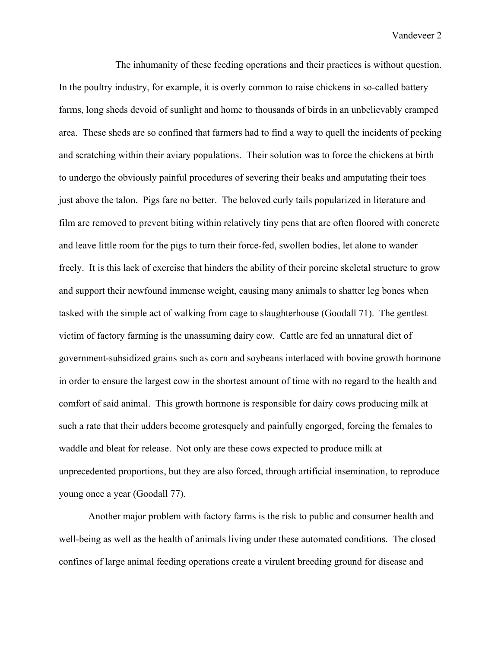The inhumanity of these feeding operations and their practices is without question. In the poultry industry, for example, it is overly common to raise chickens in so-called battery farms, long sheds devoid of sunlight and home to thousands of birds in an unbelievably cramped area. These sheds are so confined that farmers had to find a way to quell the incidents of pecking and scratching within their aviary populations. Their solution was to force the chickens at birth to undergo the obviously painful procedures of severing their beaks and amputating their toes just above the talon. Pigs fare no better. The beloved curly tails popularized in literature and film are removed to prevent biting within relatively tiny pens that are often floored with concrete and leave little room for the pigs to turn their force-fed, swollen bodies, let alone to wander freely. It is this lack of exercise that hinders the ability of their porcine skeletal structure to grow and support their newfound immense weight, causing many animals to shatter leg bones when tasked with the simple act of walking from cage to slaughterhouse (Goodall 71). The gentlest victim of factory farming is the unassuming dairy cow. Cattle are fed an unnatural diet of government-subsidized grains such as corn and soybeans interlaced with bovine growth hormone in order to ensure the largest cow in the shortest amount of time with no regard to the health and comfort of said animal. This growth hormone is responsible for dairy cows producing milk at such a rate that their udders become grotesquely and painfully engorged, forcing the females to waddle and bleat for release. Not only are these cows expected to produce milk at unprecedented proportions, but they are also forced, through artificial insemination, to reproduce young once a year (Goodall 77).

Another major problem with factory farms is the risk to public and consumer health and well-being as well as the health of animals living under these automated conditions. The closed confines of large animal feeding operations create a virulent breeding ground for disease and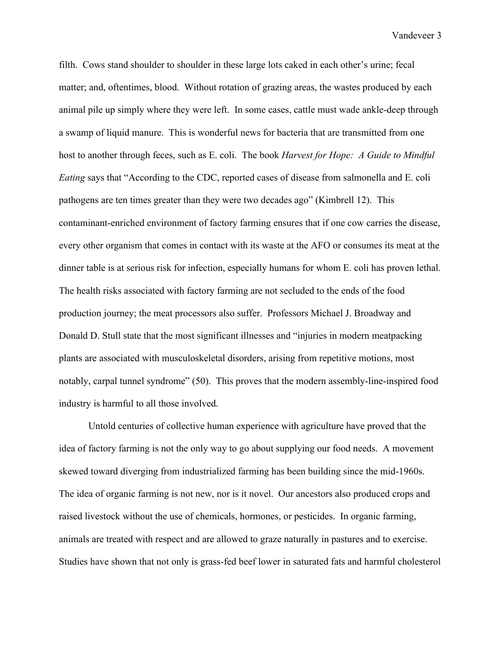Vandeveer 3

filth. Cows stand shoulder to shoulder in these large lots caked in each other's urine; fecal matter; and, oftentimes, blood. Without rotation of grazing areas, the wastes produced by each animal pile up simply where they were left. In some cases, cattle must wade ankle-deep through a swamp of liquid manure. This is wonderful news for bacteria that are transmitted from one host to another through feces, such as E. coli. The book *Harvest for Hope: A Guide to Mindful Eating* says that "According to the CDC, reported cases of disease from salmonella and E. coli pathogens are ten times greater than they were two decades ago" (Kimbrell 12). This contaminant-enriched environment of factory farming ensures that if one cow carries the disease, every other organism that comes in contact with its waste at the AFO or consumes its meat at the dinner table is at serious risk for infection, especially humans for whom E. coli has proven lethal. The health risks associated with factory farming are not secluded to the ends of the food production journey; the meat processors also suffer. Professors Michael J. Broadway and Donald D. Stull state that the most significant illnesses and "injuries in modern meatpacking plants are associated with musculoskeletal disorders, arising from repetitive motions, most notably, carpal tunnel syndrome" (50). This proves that the modern assembly-line-inspired food industry is harmful to all those involved.

Untold centuries of collective human experience with agriculture have proved that the idea of factory farming is not the only way to go about supplying our food needs. A movement skewed toward diverging from industrialized farming has been building since the mid-1960s. The idea of organic farming is not new, nor is it novel. Our ancestors also produced crops and raised livestock without the use of chemicals, hormones, or pesticides. In organic farming, animals are treated with respect and are allowed to graze naturally in pastures and to exercise. Studies have shown that not only is grass-fed beef lower in saturated fats and harmful cholesterol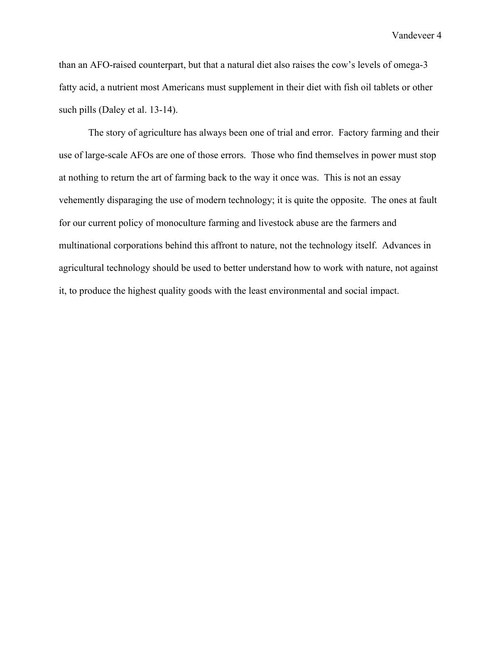Vandeveer 4

than an AFO-raised counterpart, but that a natural diet also raises the cow's levels of omega-3 fatty acid, a nutrient most Americans must supplement in their diet with fish oil tablets or other such pills (Daley et al. 13-14).

The story of agriculture has always been one of trial and error. Factory farming and their use of large-scale AFOs are one of those errors. Those who find themselves in power must stop at nothing to return the art of farming back to the way it once was. This is not an essay vehemently disparaging the use of modern technology; it is quite the opposite. The ones at fault for our current policy of monoculture farming and livestock abuse are the farmers and multinational corporations behind this affront to nature, not the technology itself. Advances in agricultural technology should be used to better understand how to work with nature, not against it, to produce the highest quality goods with the least environmental and social impact.